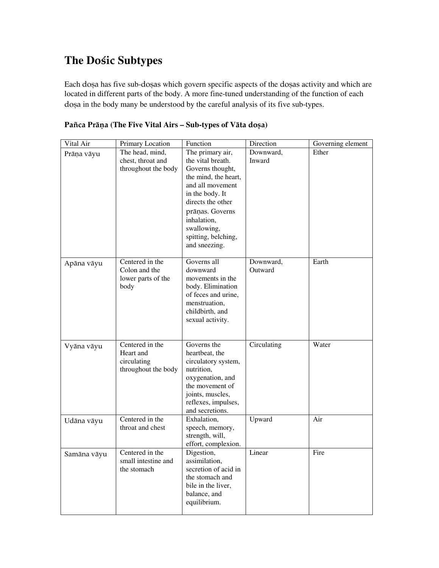## **The D**oçic **Subtypes**

Each dosa has five sub-dosas which govern specific aspects of the dosas activity and which are located in different parts of the body. A more fine-tuned understanding of the function of each doșa in the body many be understood by the careful analysis of its five sub-types.

| Vital Air   | Primary Location                   | Function                          | Direction   | Governing element |
|-------------|------------------------------------|-----------------------------------|-------------|-------------------|
| Prāņa vāyu  | The head, mind,                    | The primary air,                  | Downward,   | Ether             |
|             | chest, throat and                  | the vital breath.                 | Inward      |                   |
|             | throughout the body                | Governs thought,                  |             |                   |
|             |                                    | the mind, the heart,              |             |                   |
|             |                                    | and all movement                  |             |                   |
|             |                                    | in the body. It                   |             |                   |
|             |                                    | directs the other                 |             |                   |
|             |                                    | prāņas. Governs                   |             |                   |
|             |                                    | inhalation,                       |             |                   |
|             |                                    | swallowing,                       |             |                   |
|             |                                    | spitting, belching,               |             |                   |
|             |                                    | and sneezing.                     |             |                   |
|             | Centered in the                    | Governs all                       | Downward,   | Earth             |
| Apāna vāyu  | Colon and the                      | downward                          | Outward     |                   |
|             | lower parts of the                 | movements in the                  |             |                   |
|             | body                               | body. Elimination                 |             |                   |
|             |                                    | of feces and urine,               |             |                   |
|             |                                    | menstruation,                     |             |                   |
|             |                                    | childbirth, and                   |             |                   |
|             |                                    | sexual activity.                  |             |                   |
|             |                                    |                                   |             |                   |
|             |                                    |                                   |             |                   |
| Vyāna vāyu  | Centered in the                    | Governs the                       | Circulating | Water             |
|             | Heart and                          | heartbeat, the                    |             |                   |
|             | circulating<br>throughout the body | circulatory system,<br>nutrition, |             |                   |
|             |                                    | oxygenation, and                  |             |                   |
|             |                                    | the movement of                   |             |                   |
|             |                                    | joints, muscles,                  |             |                   |
|             |                                    | reflexes, impulses,               |             |                   |
|             |                                    | and secretions.                   |             |                   |
| Udāna vāyu  | Centered in the                    | Exhalation,                       | Upward      | Air               |
|             | throat and chest                   | speech, memory,                   |             |                   |
|             |                                    | strength, will,                   |             |                   |
|             |                                    | effort, complexion.               |             |                   |
| Samāna vāyu | Centered in the                    | Digestion,                        | Linear      | Fire              |
|             | small intestine and                | assimilation,                     |             |                   |
|             | the stomach                        | secretion of acid in              |             |                   |
|             |                                    | the stomach and                   |             |                   |
|             |                                    | bile in the liver,                |             |                   |
|             |                                    |                                   |             |                   |
|             |                                    |                                   |             |                   |
|             |                                    | balance, and<br>equilibrium.      |             |                   |

|  |  |  |  | Pañca Prāņa (The Five Vital Airs – Sub-types of Vāta doșa) |  |
|--|--|--|--|------------------------------------------------------------|--|
|  |  |  |  |                                                            |  |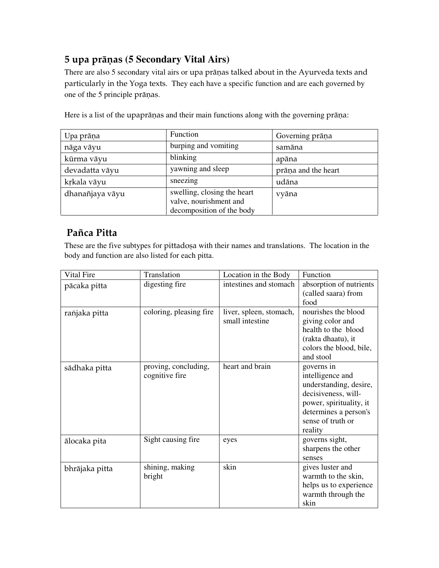## 5 upa präëas **(5 Secondary Vital Airs)**

There are also 5 secondary vital airs or upa prāņas talked about in the Ayurveda texts and particularly in the Yoga texts. They each have a specific function and are each governed by one of the 5 principle prāņas.

| Upa prāņa       | Function                                                                           | Governing prāņa     |
|-----------------|------------------------------------------------------------------------------------|---------------------|
| nāga vāyu       | burping and vomiting                                                               | samāna              |
| kūrma vāyu      | blinking                                                                           | apāna               |
| devadatta vāyu  | yawning and sleep                                                                  | prāņa and the heart |
| krkala vāyu     | sneezing                                                                           | udāna               |
| dhanañjaya vāyu | swelling, closing the heart<br>valve, nourishment and<br>decomposition of the body | vyāna               |

Here is a list of the upaprāņas and their main functions along with the governing prāņa:

## Pañca Pitta

These are the five subtypes for pittadosa with their names and translations. The location in the body and function are also listed for each pitta.

| Vital Fire     | Translation                            | Location in the Body                       | Function                                                                                                                                                            |
|----------------|----------------------------------------|--------------------------------------------|---------------------------------------------------------------------------------------------------------------------------------------------------------------------|
| pācaka pitta   | digesting fire                         | intestines and stomach                     | absorption of nutrients<br>(called saara) from<br>food                                                                                                              |
| ranjaka pitta  | coloring, pleasing fire                | liver, spleen, stomach,<br>small intestine | nourishes the blood<br>giving color and<br>health to the blood<br>(rakta dhaatu), it<br>colors the blood, bile,<br>and stool                                        |
| sādhaka pitta  | proving, concluding,<br>cognitive fire | heart and brain                            | governs in<br>intelligence and<br>understanding, desire,<br>decisiveness, will-<br>power, spirituality, it<br>determines a person's<br>sense of truth or<br>reality |
| ālocaka pita   | Sight causing fire                     | eyes                                       | governs sight,<br>sharpens the other<br>senses                                                                                                                      |
| bhrājaka pitta | shining, making<br>bright              | skin                                       | gives luster and<br>warmth to the skin,<br>helps us to experience<br>warmth through the<br>skin                                                                     |